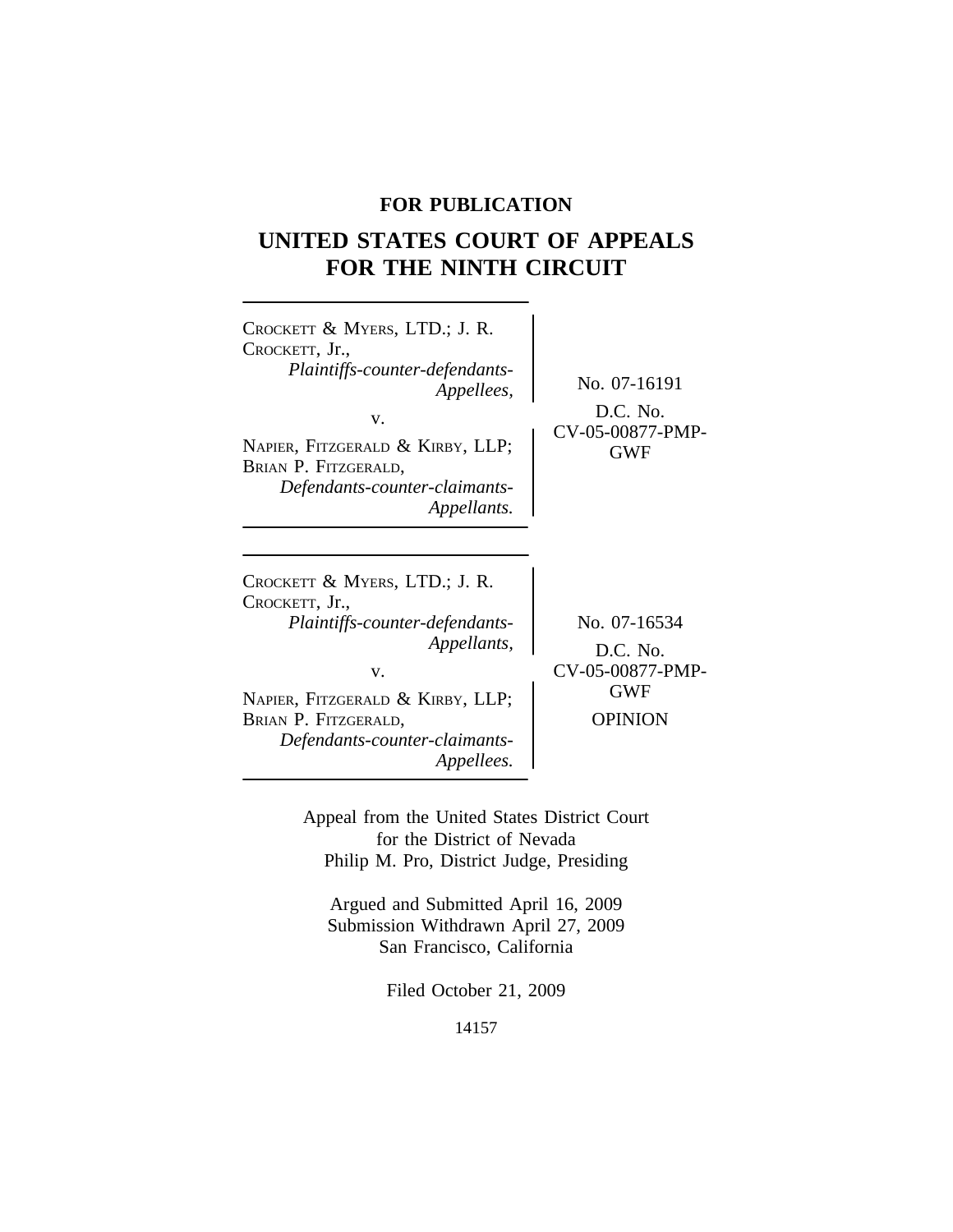# **FOR PUBLICATION**

# **UNITED STATES COURT OF APPEALS FOR THE NINTH CIRCUIT**

| CROCKETT & MYERS, LTD.; J. R.<br>CROCKETT, Jr.,<br>Plaintiffs-counter-defendants-<br>Appellees,<br>V.<br>NAPIER, FITZGERALD & KIRBY, LLP;<br>BRIAN P. FITZGERALD,<br>Defendants-counter-claimants-<br>Appellants.        | No. 07-16191<br>D.C. No.<br>CV-05-00877-PMP-<br><b>GWF</b>                   |
|--------------------------------------------------------------------------------------------------------------------------------------------------------------------------------------------------------------------------|------------------------------------------------------------------------------|
| CROCKETT & MYERS, LTD.; J. R.<br>CROCKETT, Jr.,<br>Plaintiffs-counter-defendants-<br>Appellants,<br>V.<br>NAPIER, FITZGERALD & KIRBY, LLP;<br>BRIAN P. FITZGERALD,<br>Defendants-counter-claimants-<br><i>Appellees.</i> | No. 07-16534<br>D.C. No.<br>CV-05-00877-PMP-<br><b>GWF</b><br><b>OPINION</b> |

Appeal from the United States District Court for the District of Nevada Philip M. Pro, District Judge, Presiding

Argued and Submitted April 16, 2009 Submission Withdrawn April 27, 2009 San Francisco, California

Filed October 21, 2009

14157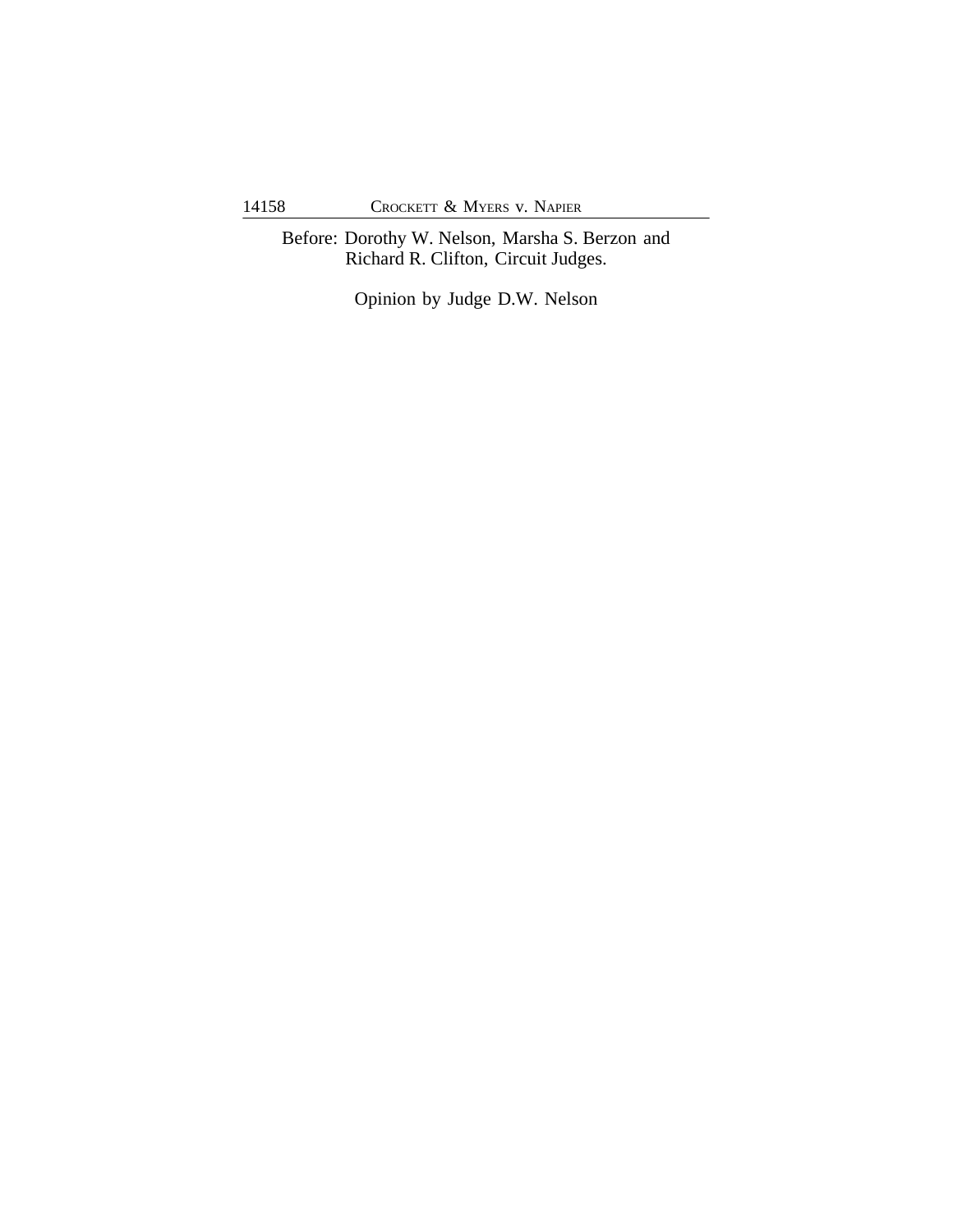Before: Dorothy W. Nelson, Marsha S. Berzon and Richard R. Clifton, Circuit Judges.

Opinion by Judge D.W. Nelson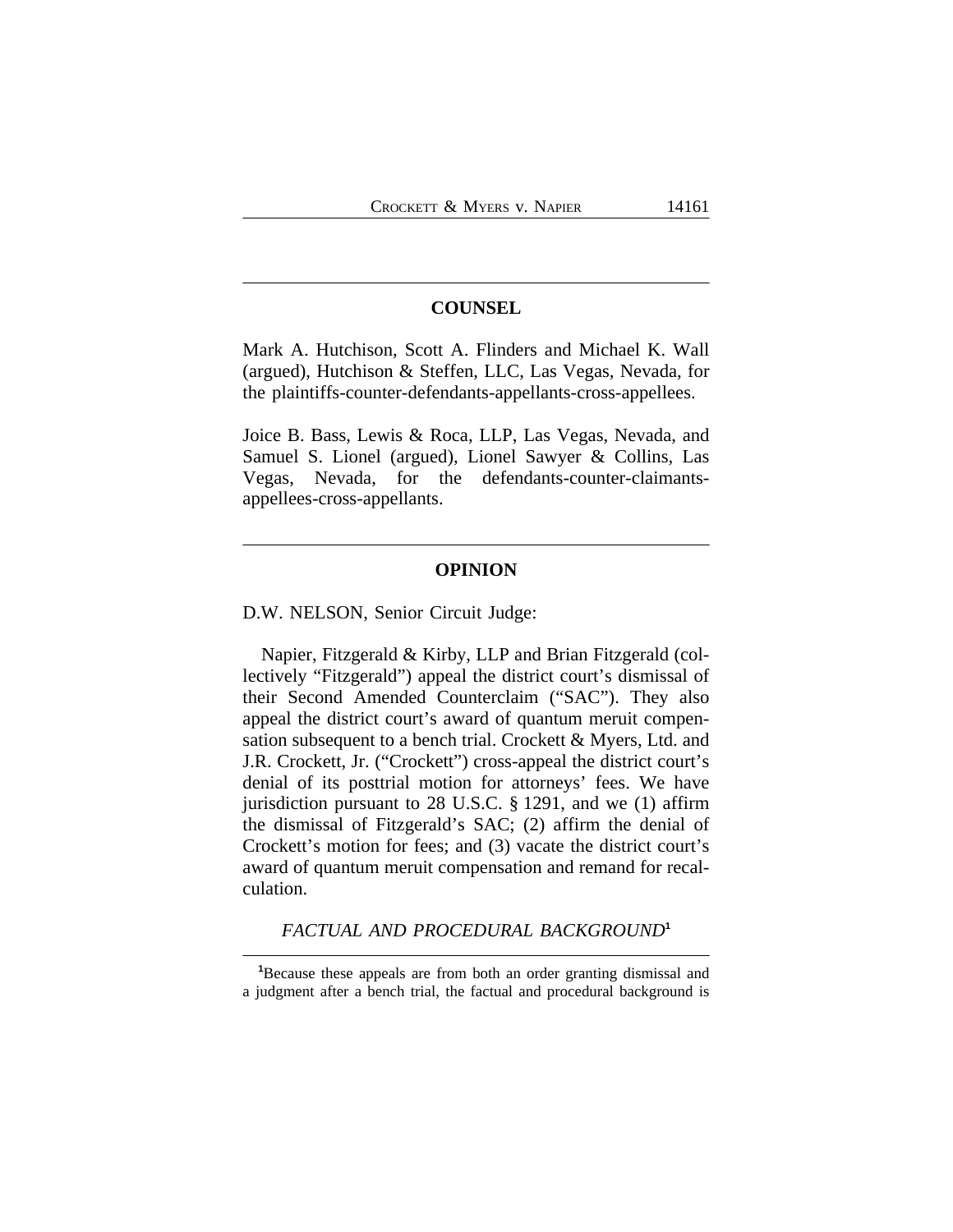#### **COUNSEL**

Mark A. Hutchison, Scott A. Flinders and Michael K. Wall (argued), Hutchison & Steffen, LLC, Las Vegas, Nevada, for the plaintiffs-counter-defendants-appellants-cross-appellees.

Joice B. Bass, Lewis & Roca, LLP, Las Vegas, Nevada, and Samuel S. Lionel (argued), Lionel Sawyer & Collins, Las Vegas, Nevada, for the defendants-counter-claimantsappellees-cross-appellants.

#### **OPINION**

D.W. NELSON, Senior Circuit Judge:

Napier, Fitzgerald & Kirby, LLP and Brian Fitzgerald (collectively "Fitzgerald") appeal the district court's dismissal of their Second Amended Counterclaim ("SAC"). They also appeal the district court's award of quantum meruit compensation subsequent to a bench trial. Crockett & Myers, Ltd. and J.R. Crockett, Jr. ("Crockett") cross-appeal the district court's denial of its posttrial motion for attorneys' fees. We have jurisdiction pursuant to 28 U.S.C. § 1291, and we (1) affirm the dismissal of Fitzgerald's SAC; (2) affirm the denial of Crockett's motion for fees; and (3) vacate the district court's award of quantum meruit compensation and remand for recalculation.

*FACTUAL AND PROCEDURAL BACKGROUND***<sup>1</sup>**

**<sup>1</sup>**Because these appeals are from both an order granting dismissal and a judgment after a bench trial, the factual and procedural background is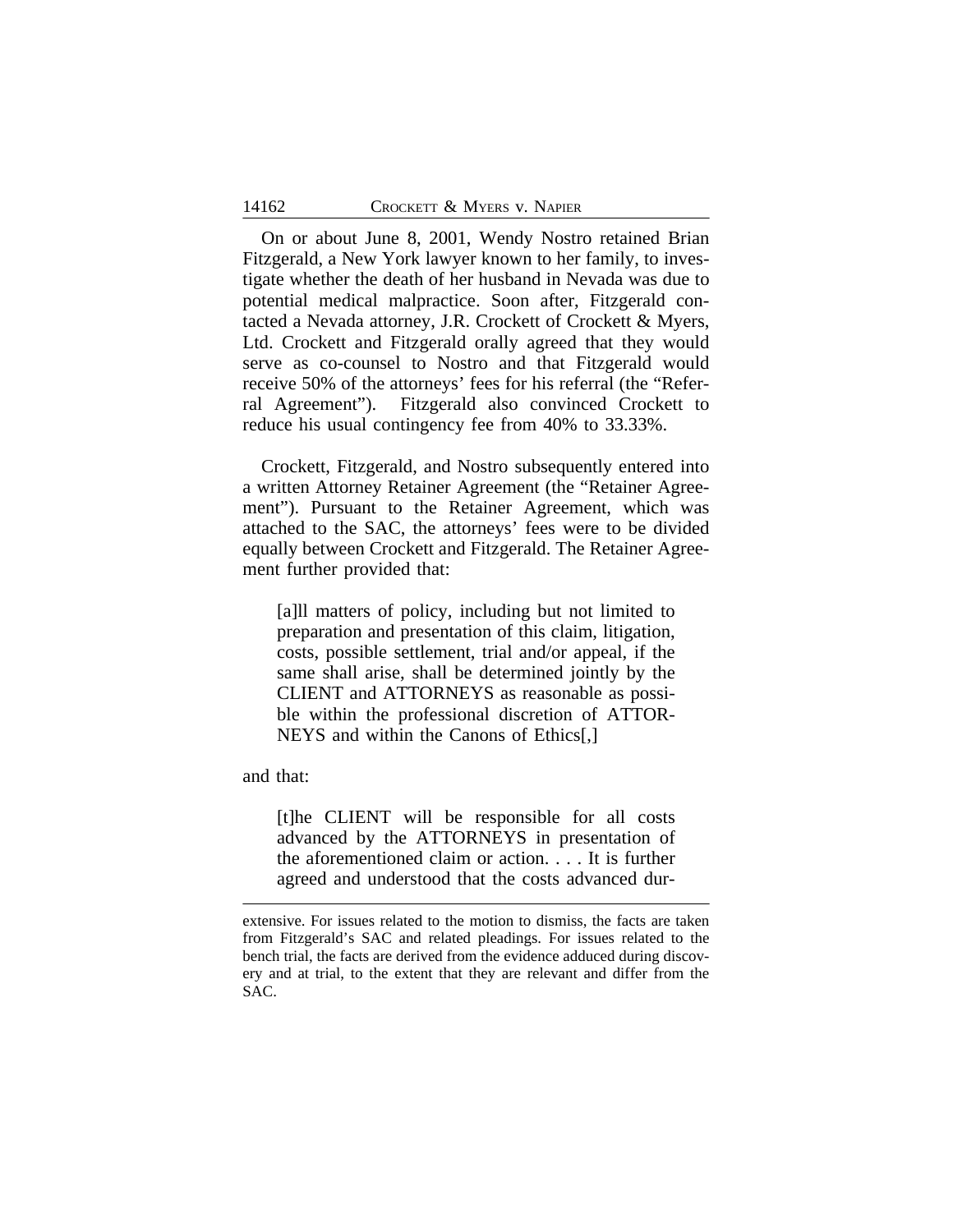On or about June 8, 2001, Wendy Nostro retained Brian Fitzgerald, a New York lawyer known to her family, to investigate whether the death of her husband in Nevada was due to potential medical malpractice. Soon after, Fitzgerald contacted a Nevada attorney, J.R. Crockett of Crockett & Myers, Ltd. Crockett and Fitzgerald orally agreed that they would serve as co-counsel to Nostro and that Fitzgerald would receive 50% of the attorneys' fees for his referral (the "Referral Agreement"). Fitzgerald also convinced Crockett to reduce his usual contingency fee from 40% to 33.33%.

Crockett, Fitzgerald, and Nostro subsequently entered into a written Attorney Retainer Agreement (the "Retainer Agreement"). Pursuant to the Retainer Agreement, which was attached to the SAC, the attorneys' fees were to be divided equally between Crockett and Fitzgerald. The Retainer Agreement further provided that:

[a]ll matters of policy, including but not limited to preparation and presentation of this claim, litigation, costs, possible settlement, trial and/or appeal, if the same shall arise, shall be determined jointly by the CLIENT and ATTORNEYS as reasonable as possible within the professional discretion of ATTOR-NEYS and within the Canons of Ethics[,]

and that:

[t]he CLIENT will be responsible for all costs advanced by the ATTORNEYS in presentation of the aforementioned claim or action. . . . It is further agreed and understood that the costs advanced dur-

extensive. For issues related to the motion to dismiss, the facts are taken from Fitzgerald's SAC and related pleadings. For issues related to the bench trial, the facts are derived from the evidence adduced during discovery and at trial, to the extent that they are relevant and differ from the SAC.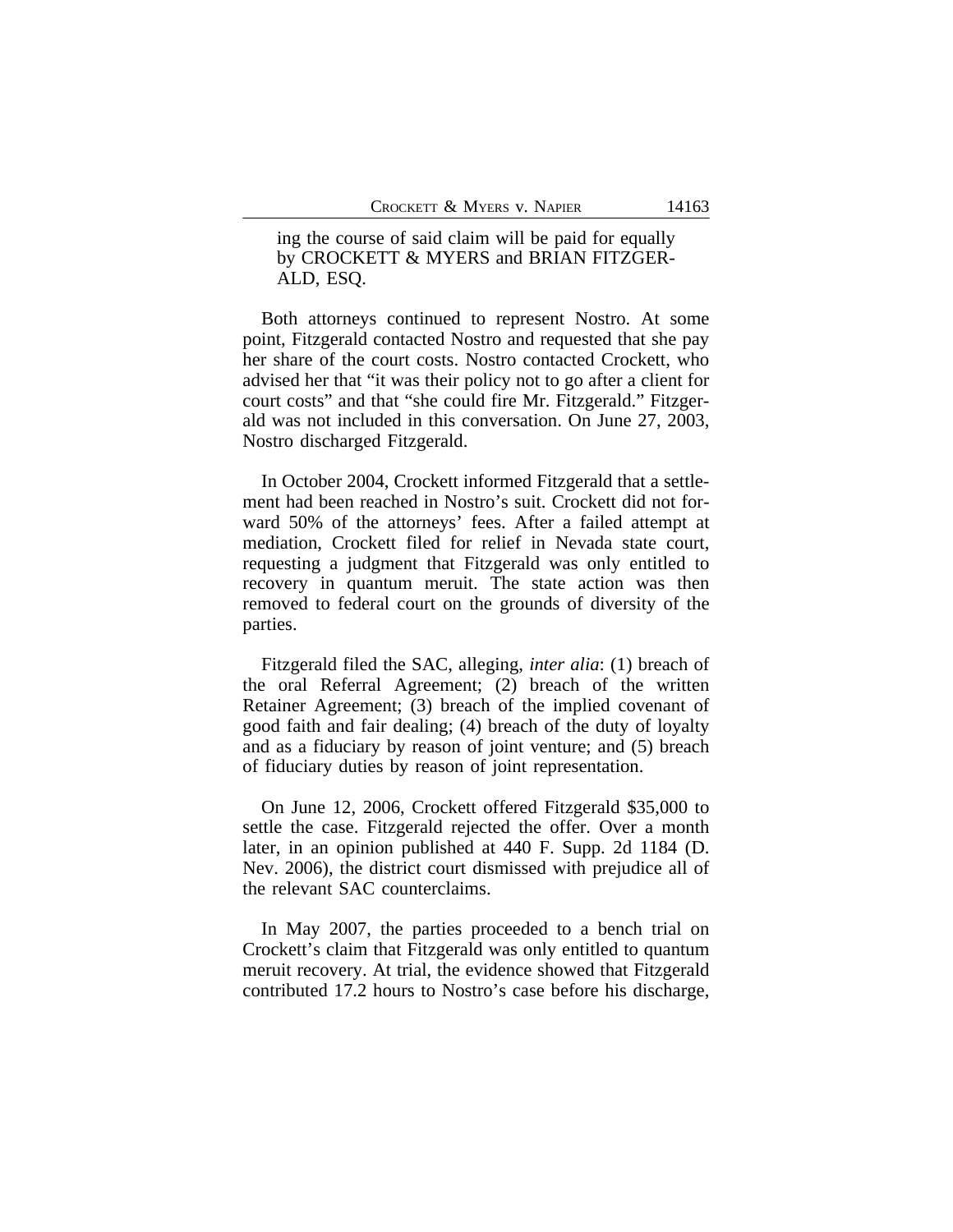ing the course of said claim will be paid for equally by CROCKETT & MYERS and BRIAN FITZGER-ALD, ESQ.

Both attorneys continued to represent Nostro. At some point, Fitzgerald contacted Nostro and requested that she pay her share of the court costs. Nostro contacted Crockett, who advised her that "it was their policy not to go after a client for court costs" and that "she could fire Mr. Fitzgerald." Fitzgerald was not included in this conversation. On June 27, 2003, Nostro discharged Fitzgerald.

In October 2004, Crockett informed Fitzgerald that a settlement had been reached in Nostro's suit. Crockett did not forward 50% of the attorneys' fees. After a failed attempt at mediation, Crockett filed for relief in Nevada state court, requesting a judgment that Fitzgerald was only entitled to recovery in quantum meruit. The state action was then removed to federal court on the grounds of diversity of the parties.

Fitzgerald filed the SAC, alleging, *inter alia*: (1) breach of the oral Referral Agreement; (2) breach of the written Retainer Agreement; (3) breach of the implied covenant of good faith and fair dealing; (4) breach of the duty of loyalty and as a fiduciary by reason of joint venture; and (5) breach of fiduciary duties by reason of joint representation.

On June 12, 2006, Crockett offered Fitzgerald \$35,000 to settle the case. Fitzgerald rejected the offer. Over a month later, in an opinion published at 440 F. Supp. 2d 1184 (D. Nev. 2006), the district court dismissed with prejudice all of the relevant SAC counterclaims.

In May 2007, the parties proceeded to a bench trial on Crockett's claim that Fitzgerald was only entitled to quantum meruit recovery. At trial, the evidence showed that Fitzgerald contributed 17.2 hours to Nostro's case before his discharge,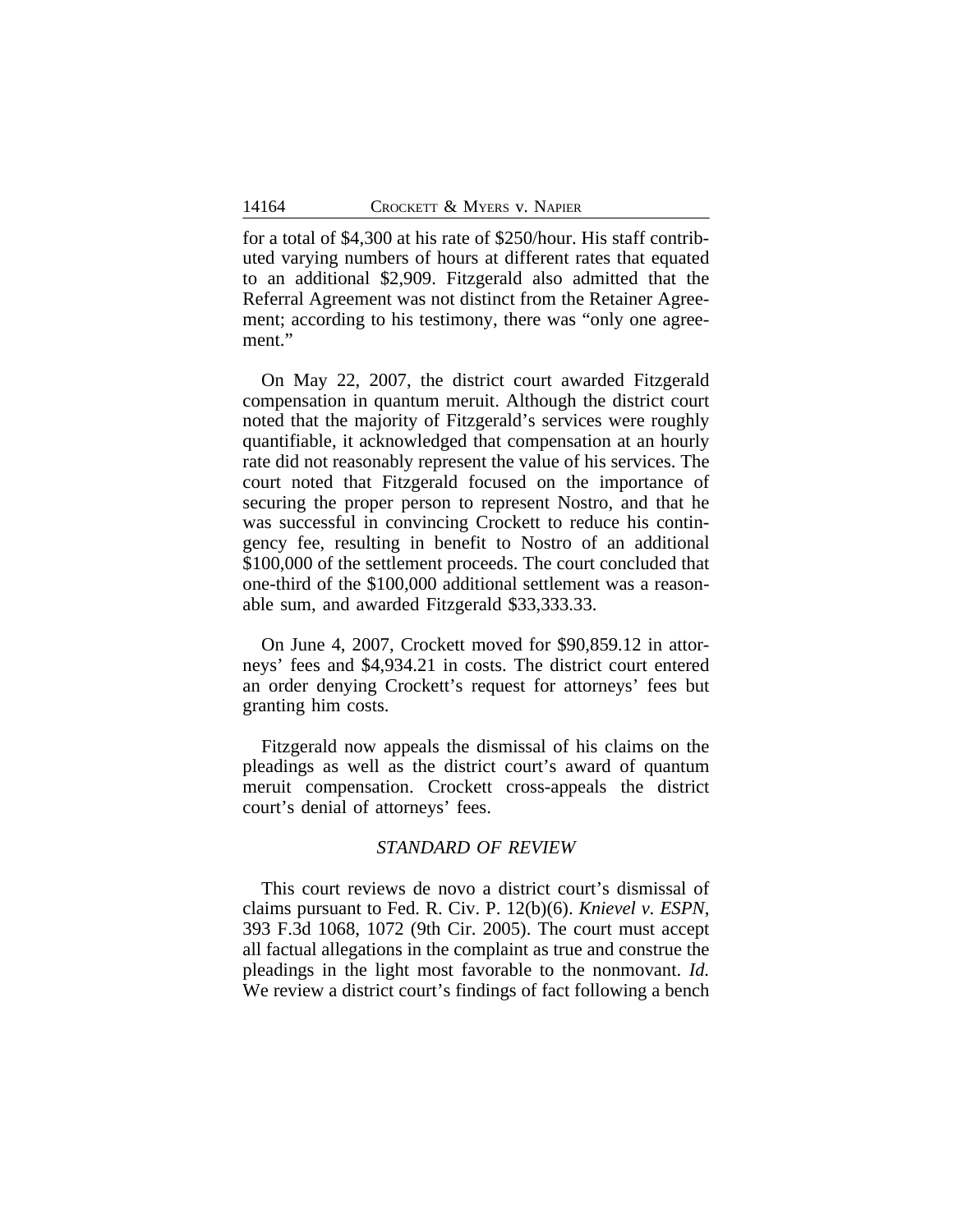for a total of \$4,300 at his rate of \$250/hour. His staff contributed varying numbers of hours at different rates that equated to an additional \$2,909. Fitzgerald also admitted that the Referral Agreement was not distinct from the Retainer Agreement; according to his testimony, there was "only one agreement."

On May 22, 2007, the district court awarded Fitzgerald compensation in quantum meruit. Although the district court noted that the majority of Fitzgerald's services were roughly quantifiable, it acknowledged that compensation at an hourly rate did not reasonably represent the value of his services. The court noted that Fitzgerald focused on the importance of securing the proper person to represent Nostro, and that he was successful in convincing Crockett to reduce his contingency fee, resulting in benefit to Nostro of an additional \$100,000 of the settlement proceeds. The court concluded that one-third of the \$100,000 additional settlement was a reasonable sum, and awarded Fitzgerald \$33,333.33.

On June 4, 2007, Crockett moved for \$90,859.12 in attorneys' fees and \$4,934.21 in costs. The district court entered an order denying Crockett's request for attorneys' fees but granting him costs.

Fitzgerald now appeals the dismissal of his claims on the pleadings as well as the district court's award of quantum meruit compensation. Crockett cross-appeals the district court's denial of attorneys' fees.

#### *STANDARD OF REVIEW*

This court reviews de novo a district court's dismissal of claims pursuant to Fed. R. Civ. P. 12(b)(6). *Knievel v. ESPN*, 393 F.3d 1068, 1072 (9th Cir. 2005). The court must accept all factual allegations in the complaint as true and construe the pleadings in the light most favorable to the nonmovant. *Id.* We review a district court's findings of fact following a bench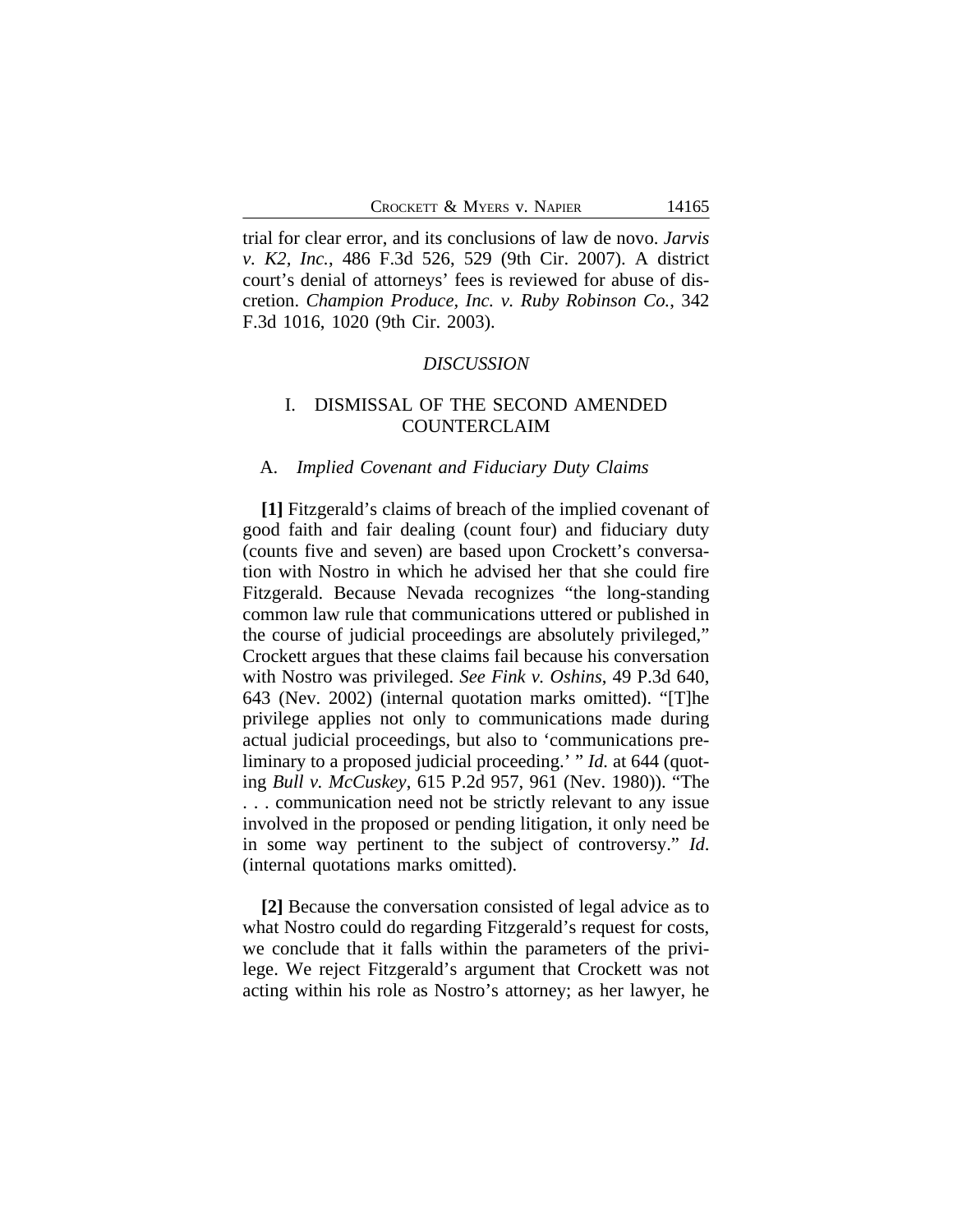trial for clear error, and its conclusions of law de novo. *Jarvis v. K2, Inc.*, 486 F.3d 526, 529 (9th Cir. 2007). A district court's denial of attorneys' fees is reviewed for abuse of discretion. *Champion Produce, Inc. v. Ruby Robinson Co.*, 342 F.3d 1016, 1020 (9th Cir. 2003).

#### *DISCUSSION*

## I. DISMISSAL OF THE SECOND AMENDED COUNTERCLAIM

#### A. *Implied Covenant and Fiduciary Duty Claims*

**[1]** Fitzgerald's claims of breach of the implied covenant of good faith and fair dealing (count four) and fiduciary duty (counts five and seven) are based upon Crockett's conversation with Nostro in which he advised her that she could fire Fitzgerald. Because Nevada recognizes "the long-standing common law rule that communications uttered or published in the course of judicial proceedings are absolutely privileged," Crockett argues that these claims fail because his conversation with Nostro was privileged. *See Fink v. Oshins*, 49 P.3d 640, 643 (Nev. 2002) (internal quotation marks omitted). "[T]he privilege applies not only to communications made during actual judicial proceedings, but also to 'communications preliminary to a proposed judicial proceeding.' " *Id.* at 644 (quoting *Bull v. McCuskey*, 615 P.2d 957, 961 (Nev. 1980)). "The . . . communication need not be strictly relevant to any issue involved in the proposed or pending litigation, it only need be in some way pertinent to the subject of controversy." *Id*. (internal quotations marks omitted).

**[2]** Because the conversation consisted of legal advice as to what Nostro could do regarding Fitzgerald's request for costs, we conclude that it falls within the parameters of the privilege. We reject Fitzgerald's argument that Crockett was not acting within his role as Nostro's attorney; as her lawyer, he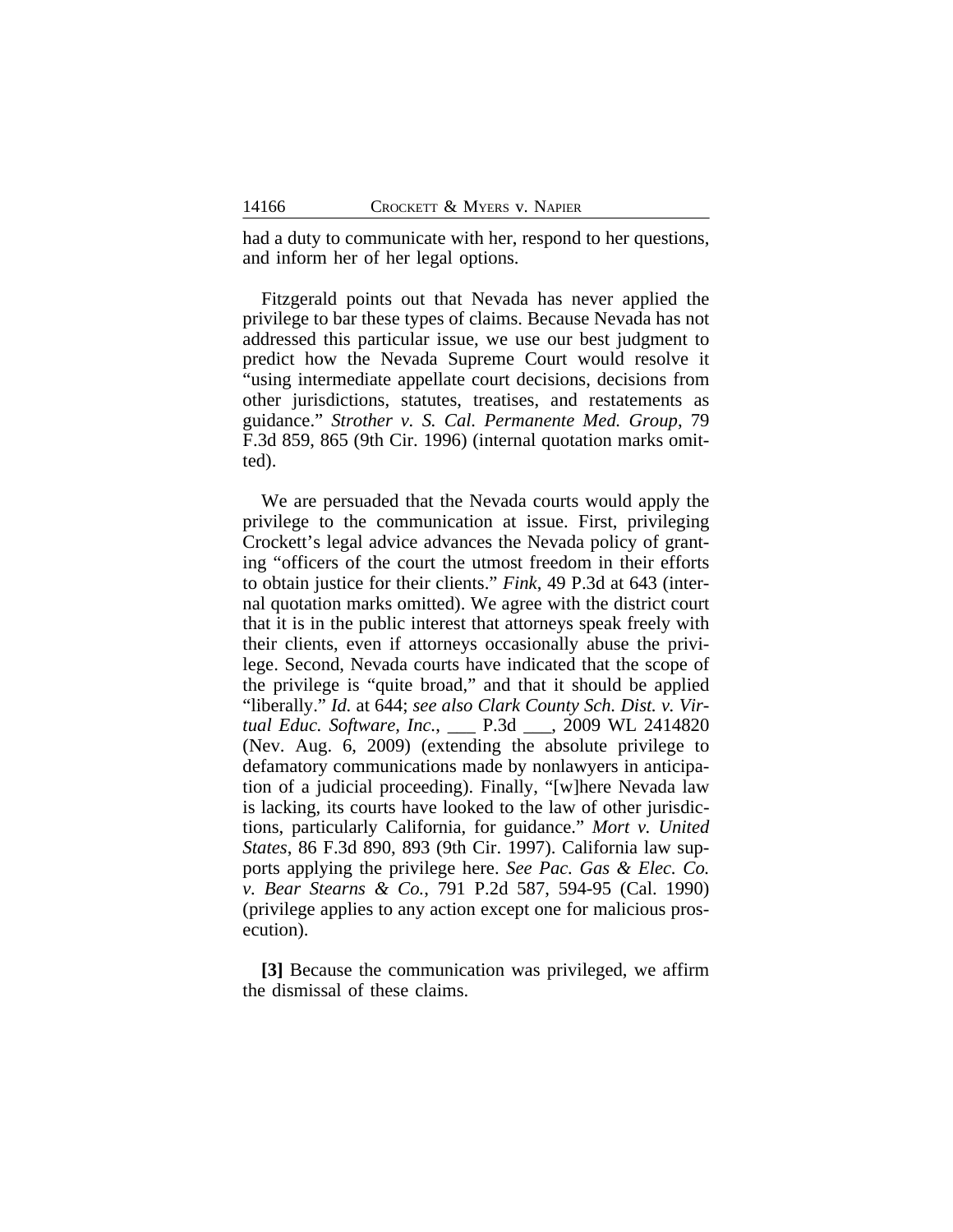had a duty to communicate with her, respond to her questions, and inform her of her legal options.

Fitzgerald points out that Nevada has never applied the privilege to bar these types of claims. Because Nevada has not addressed this particular issue, we use our best judgment to predict how the Nevada Supreme Court would resolve it "using intermediate appellate court decisions, decisions from other jurisdictions, statutes, treatises, and restatements as guidance." *Strother v. S. Cal. Permanente Med. Group*, 79 F.3d 859, 865 (9th Cir. 1996) (internal quotation marks omitted).

We are persuaded that the Nevada courts would apply the privilege to the communication at issue. First, privileging Crockett's legal advice advances the Nevada policy of granting "officers of the court the utmost freedom in their efforts to obtain justice for their clients." *Fink*, 49 P.3d at 643 (internal quotation marks omitted). We agree with the district court that it is in the public interest that attorneys speak freely with their clients, even if attorneys occasionally abuse the privilege. Second, Nevada courts have indicated that the scope of the privilege is "quite broad," and that it should be applied "liberally." *Id.* at 644; *see also Clark County Sch. Dist. v. Virtual Educ. Software, Inc.*, \_\_\_ P.3d \_\_\_, 2009 WL 2414820 (Nev. Aug. 6, 2009) (extending the absolute privilege to defamatory communications made by nonlawyers in anticipation of a judicial proceeding). Finally, "[w]here Nevada law is lacking, its courts have looked to the law of other jurisdictions, particularly California, for guidance." *Mort v. United States*, 86 F.3d 890, 893 (9th Cir. 1997). California law supports applying the privilege here. *See Pac. Gas & Elec. Co. v. Bear Stearns & Co.*, 791 P.2d 587, 594-95 (Cal. 1990) (privilege applies to any action except one for malicious prosecution).

**[3]** Because the communication was privileged, we affirm the dismissal of these claims.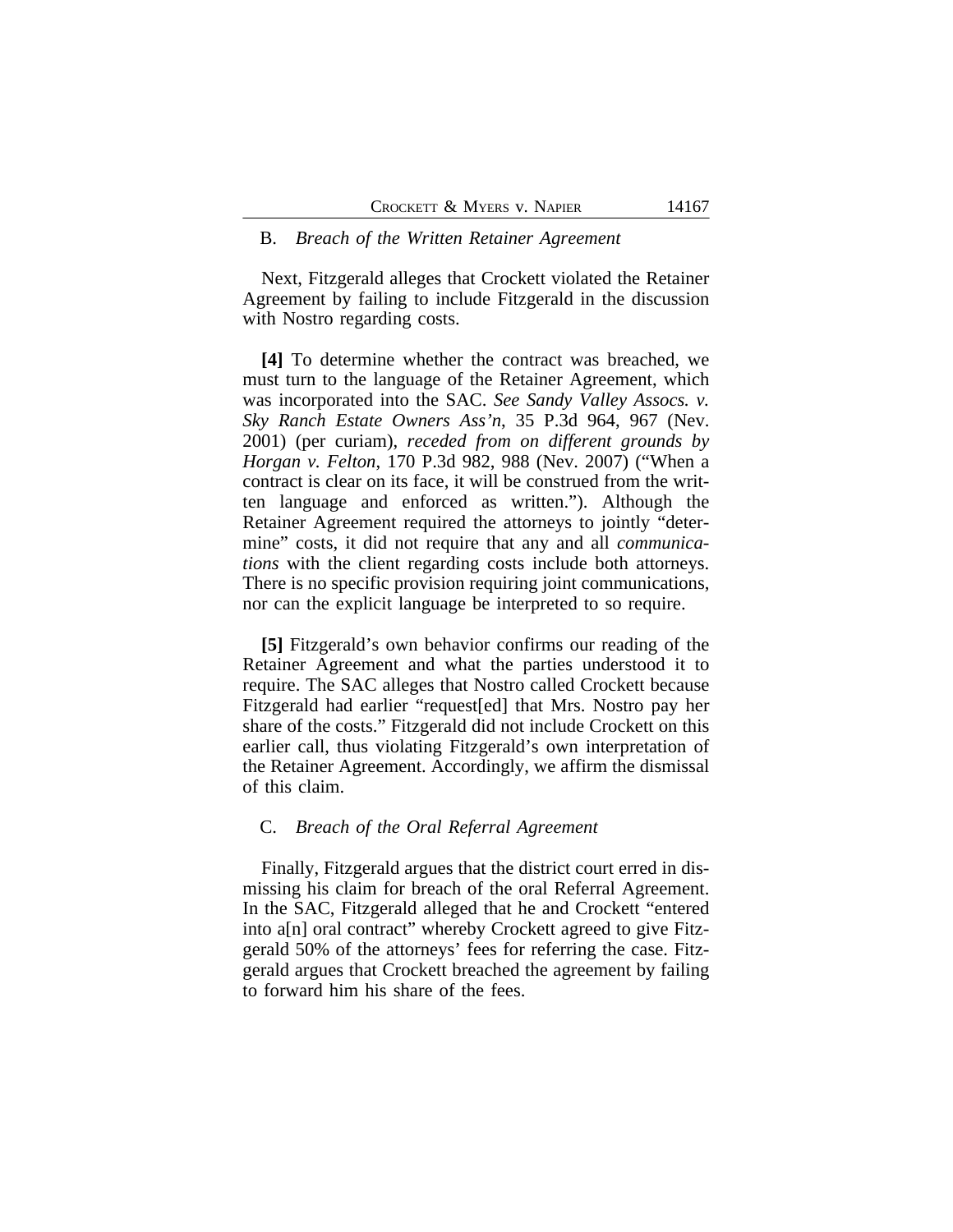#### B. *Breach of the Written Retainer Agreement*

Next, Fitzgerald alleges that Crockett violated the Retainer Agreement by failing to include Fitzgerald in the discussion with Nostro regarding costs.

**[4]** To determine whether the contract was breached, we must turn to the language of the Retainer Agreement, which was incorporated into the SAC. *See Sandy Valley Assocs. v. Sky Ranch Estate Owners Ass'n*, 35 P.3d 964, 967 (Nev. 2001) (per curiam), *receded from on different grounds by Horgan v. Felton*, 170 P.3d 982, 988 (Nev. 2007) ("When a contract is clear on its face, it will be construed from the written language and enforced as written."). Although the Retainer Agreement required the attorneys to jointly "determine" costs, it did not require that any and all *communications* with the client regarding costs include both attorneys. There is no specific provision requiring joint communications, nor can the explicit language be interpreted to so require.

**[5]** Fitzgerald's own behavior confirms our reading of the Retainer Agreement and what the parties understood it to require. The SAC alleges that Nostro called Crockett because Fitzgerald had earlier "request[ed] that Mrs. Nostro pay her share of the costs." Fitzgerald did not include Crockett on this earlier call, thus violating Fitzgerald's own interpretation of the Retainer Agreement. Accordingly, we affirm the dismissal of this claim.

#### C. *Breach of the Oral Referral Agreement*

Finally, Fitzgerald argues that the district court erred in dismissing his claim for breach of the oral Referral Agreement. In the SAC, Fitzgerald alleged that he and Crockett "entered into a[n] oral contract" whereby Crockett agreed to give Fitzgerald 50% of the attorneys' fees for referring the case. Fitzgerald argues that Crockett breached the agreement by failing to forward him his share of the fees.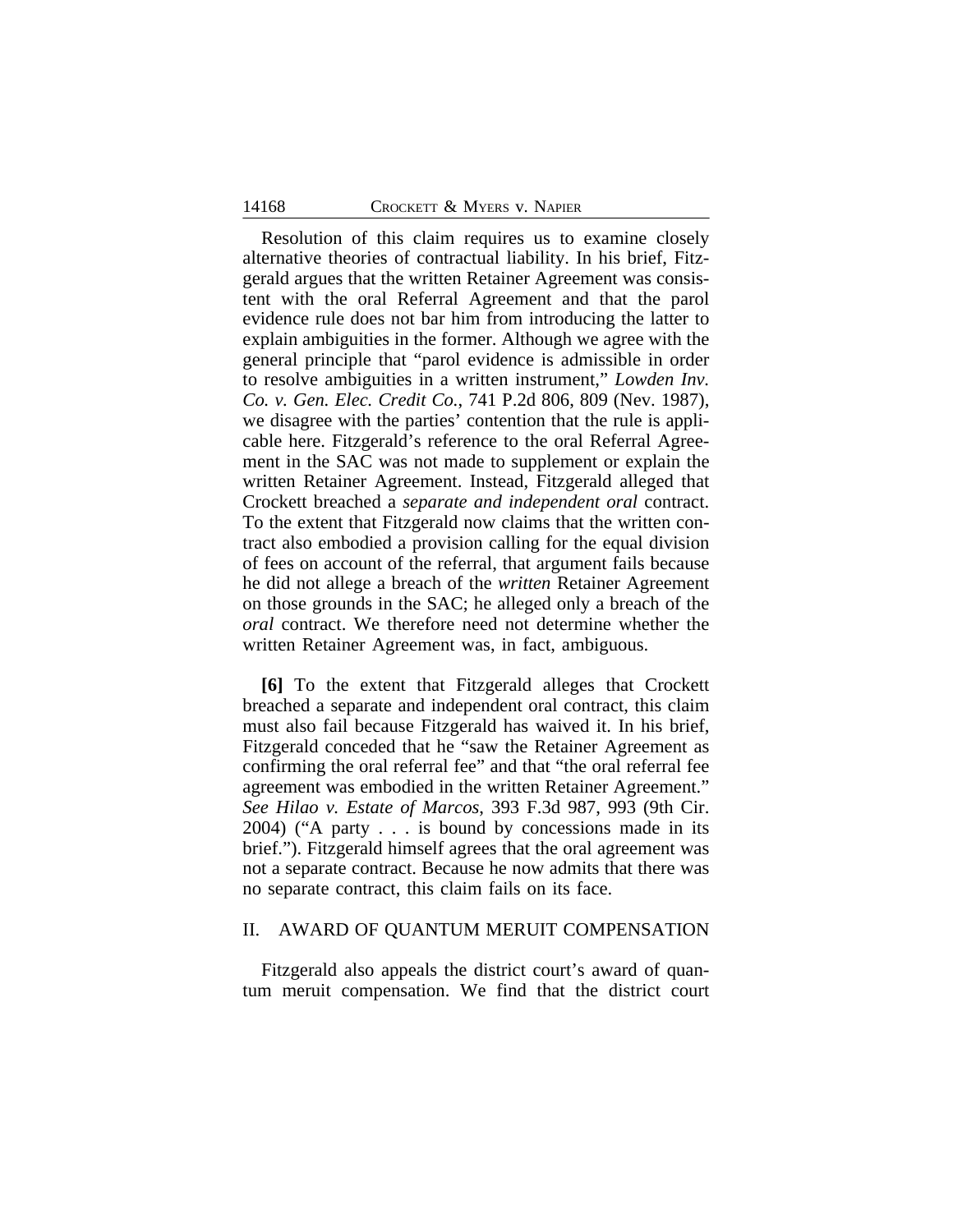Resolution of this claim requires us to examine closely alternative theories of contractual liability. In his brief, Fitzgerald argues that the written Retainer Agreement was consistent with the oral Referral Agreement and that the parol evidence rule does not bar him from introducing the latter to explain ambiguities in the former. Although we agree with the general principle that "parol evidence is admissible in order to resolve ambiguities in a written instrument," *Lowden Inv. Co. v. Gen. Elec. Credit Co.*, 741 P.2d 806, 809 (Nev. 1987), we disagree with the parties' contention that the rule is applicable here. Fitzgerald's reference to the oral Referral Agreement in the SAC was not made to supplement or explain the written Retainer Agreement. Instead, Fitzgerald alleged that Crockett breached a *separate and independent oral* contract. To the extent that Fitzgerald now claims that the written contract also embodied a provision calling for the equal division of fees on account of the referral, that argument fails because he did not allege a breach of the *written* Retainer Agreement on those grounds in the SAC; he alleged only a breach of the *oral* contract. We therefore need not determine whether the written Retainer Agreement was, in fact, ambiguous.

**[6]** To the extent that Fitzgerald alleges that Crockett breached a separate and independent oral contract, this claim must also fail because Fitzgerald has waived it. In his brief, Fitzgerald conceded that he "saw the Retainer Agreement as confirming the oral referral fee" and that "the oral referral fee agreement was embodied in the written Retainer Agreement." *See Hilao v. Estate of Marcos*, 393 F.3d 987, 993 (9th Cir. 2004) ("A party . . . is bound by concessions made in its brief."). Fitzgerald himself agrees that the oral agreement was not a separate contract. Because he now admits that there was no separate contract, this claim fails on its face.

#### II. AWARD OF QUANTUM MERUIT COMPENSATION

Fitzgerald also appeals the district court's award of quantum meruit compensation. We find that the district court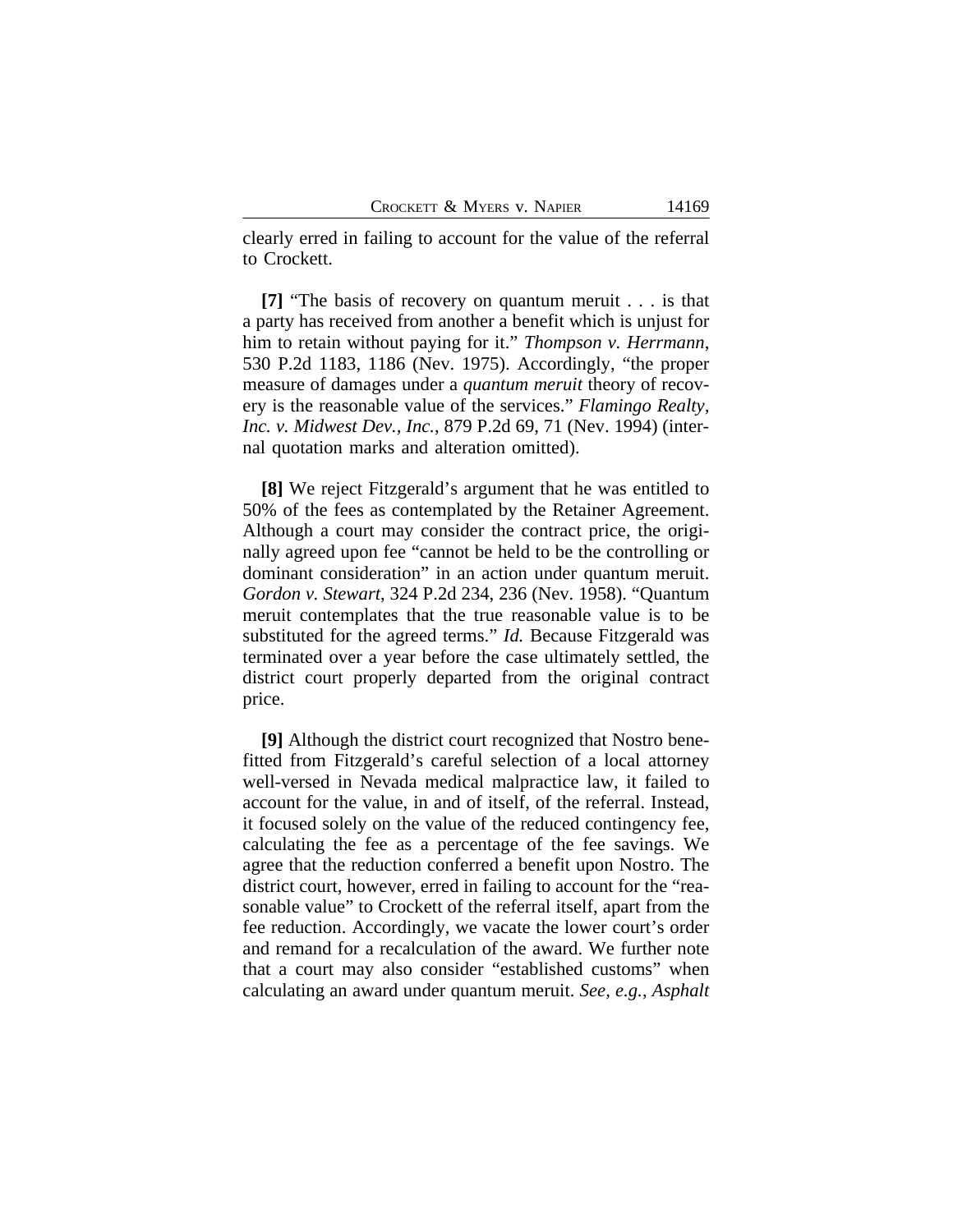clearly erred in failing to account for the value of the referral to Crockett.

**[7]** "The basis of recovery on quantum meruit . . . is that a party has received from another a benefit which is unjust for him to retain without paying for it." *Thompson v. Herrmann*, 530 P.2d 1183, 1186 (Nev. 1975). Accordingly, "the proper measure of damages under a *quantum meruit* theory of recovery is the reasonable value of the services." *Flamingo Realty, Inc. v. Midwest Dev., Inc.*, 879 P.2d 69, 71 (Nev. 1994) (internal quotation marks and alteration omitted).

**[8]** We reject Fitzgerald's argument that he was entitled to 50% of the fees as contemplated by the Retainer Agreement. Although a court may consider the contract price, the originally agreed upon fee "cannot be held to be the controlling or dominant consideration" in an action under quantum meruit. *Gordon v. Stewart*, 324 P.2d 234, 236 (Nev. 1958). "Quantum meruit contemplates that the true reasonable value is to be substituted for the agreed terms." *Id.* Because Fitzgerald was terminated over a year before the case ultimately settled, the district court properly departed from the original contract price.

**[9]** Although the district court recognized that Nostro benefitted from Fitzgerald's careful selection of a local attorney well-versed in Nevada medical malpractice law, it failed to account for the value, in and of itself, of the referral. Instead, it focused solely on the value of the reduced contingency fee, calculating the fee as a percentage of the fee savings. We agree that the reduction conferred a benefit upon Nostro. The district court, however, erred in failing to account for the "reasonable value" to Crockett of the referral itself, apart from the fee reduction. Accordingly, we vacate the lower court's order and remand for a recalculation of the award. We further note that a court may also consider "established customs" when calculating an award under quantum meruit. *See, e.g.*, *Asphalt*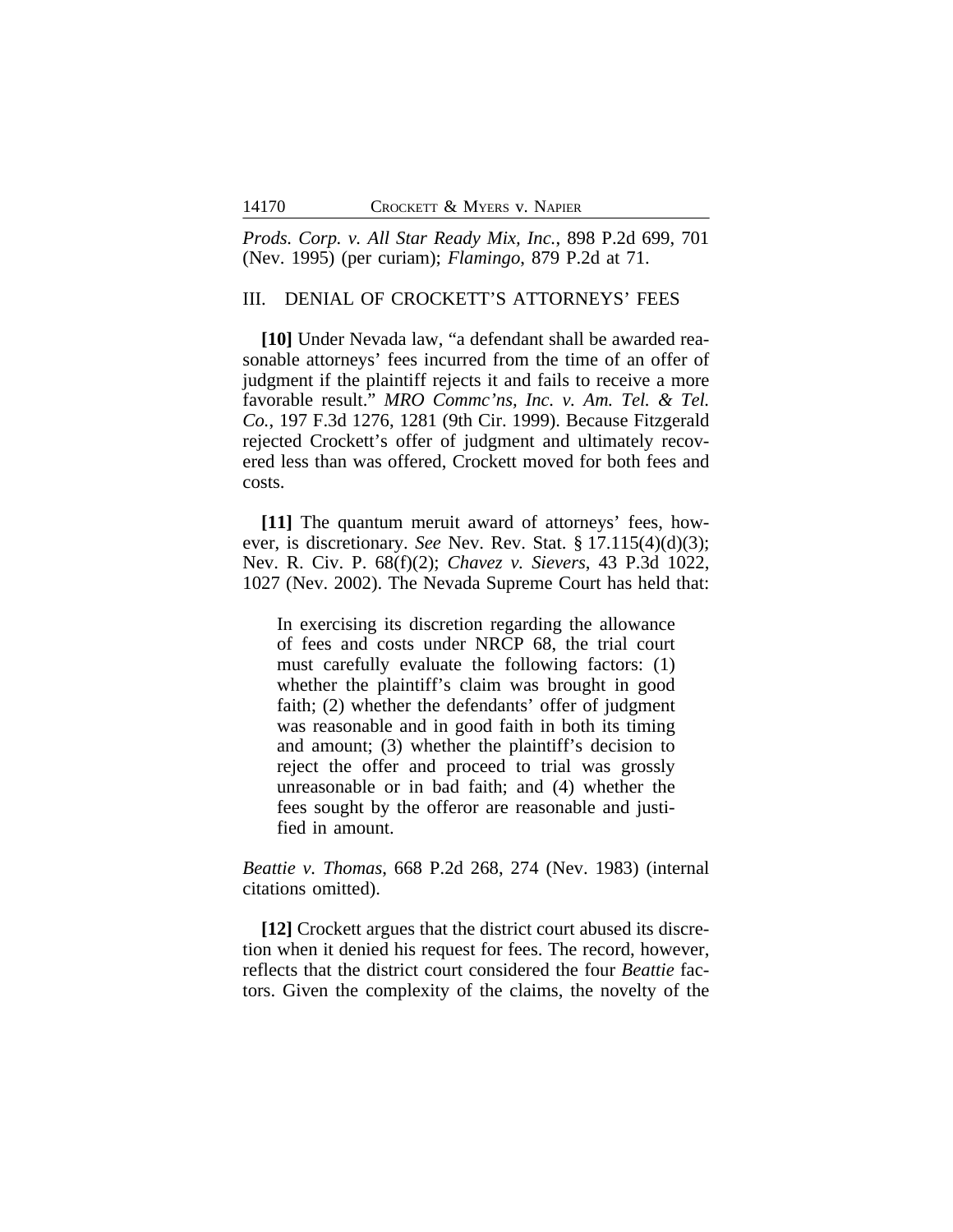*Prods. Corp. v. All Star Ready Mix, Inc.*, 898 P.2d 699, 701 (Nev. 1995) (per curiam); *Flamingo*, 879 P.2d at 71.

### III. DENIAL OF CROCKETT'S ATTORNEYS' FEES

**[10]** Under Nevada law, "a defendant shall be awarded reasonable attorneys' fees incurred from the time of an offer of judgment if the plaintiff rejects it and fails to receive a more favorable result." *MRO Commc'ns, Inc. v. Am. Tel. & Tel. Co.*, 197 F.3d 1276, 1281 (9th Cir. 1999). Because Fitzgerald rejected Crockett's offer of judgment and ultimately recovered less than was offered, Crockett moved for both fees and costs.

**[11]** The quantum meruit award of attorneys' fees, however, is discretionary. *See* Nev. Rev. Stat. § 17.115(4)(d)(3); Nev. R. Civ. P. 68(f)(2); *Chavez v. Sievers*, 43 P.3d 1022, 1027 (Nev. 2002). The Nevada Supreme Court has held that:

In exercising its discretion regarding the allowance of fees and costs under NRCP 68, the trial court must carefully evaluate the following factors: (1) whether the plaintiff's claim was brought in good faith; (2) whether the defendants' offer of judgment was reasonable and in good faith in both its timing and amount; (3) whether the plaintiff's decision to reject the offer and proceed to trial was grossly unreasonable or in bad faith; and (4) whether the fees sought by the offeror are reasonable and justified in amount.

*Beattie v. Thomas*, 668 P.2d 268, 274 (Nev. 1983) (internal citations omitted).

**[12]** Crockett argues that the district court abused its discretion when it denied his request for fees. The record, however, reflects that the district court considered the four *Beattie* factors. Given the complexity of the claims, the novelty of the